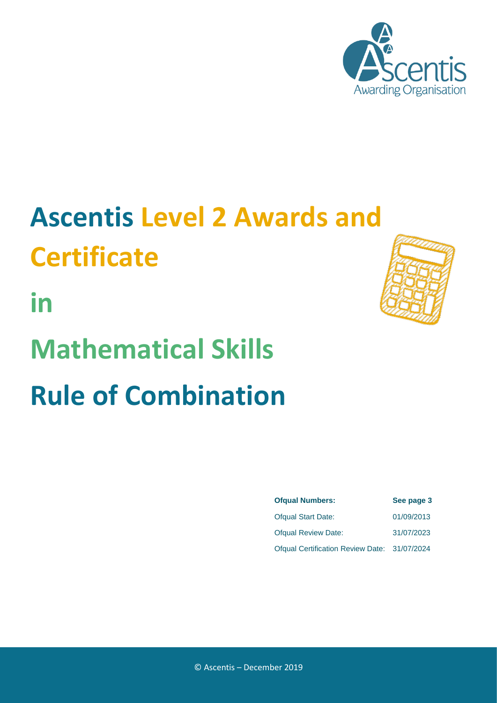

# **Ascentis Level 2 Awards and Certificate**

**in**

# **Mathematical Skills Rule of Combination**

| <b>Ofqual Numbers:</b>                       | See page 3 |
|----------------------------------------------|------------|
| <b>Ofqual Start Date:</b>                    | 01/09/2013 |
| <b>Ofqual Review Date:</b>                   | 31/07/2023 |
| Ofqual Certification Review Date: 31/07/2024 |            |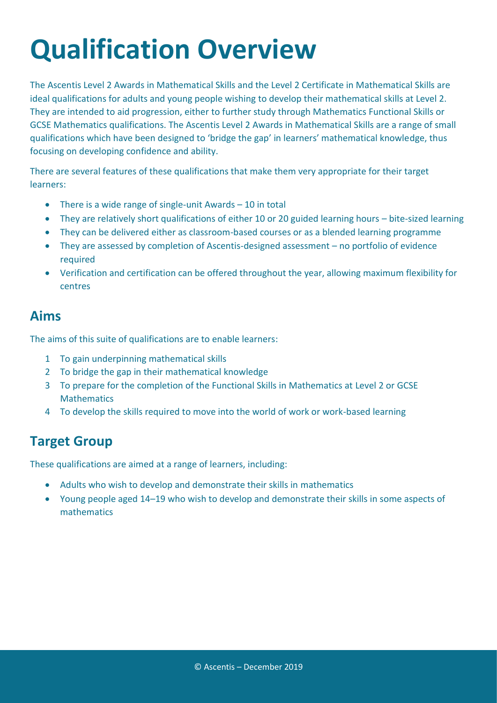### **Qualification Overview**

The Ascentis Level 2 Awards in Mathematical Skills and the Level 2 Certificate in Mathematical Skills are ideal qualifications for adults and young people wishing to develop their mathematical skills at Level 2. They are intended to aid progression, either to further study through Mathematics Functional Skills or GCSE Mathematics qualifications. The Ascentis Level 2 Awards in Mathematical Skills are a range of small qualifications which have been designed to 'bridge the gap' in learners' mathematical knowledge, thus focusing on developing confidence and ability.

There are several features of these qualifications that make them very appropriate for their target learners:

- There is a wide range of single-unit Awards 10 in total
- They are relatively short qualifications of either 10 or 20 guided learning hours bite-sized learning
- They can be delivered either as classroom-based courses or as a blended learning programme
- They are assessed by completion of Ascentis-designed assessment no portfolio of evidence required
- Verification and certification can be offered throughout the year, allowing maximum flexibility for centres

#### **Aims**

The aims of this suite of qualifications are to enable learners:

- 1 To gain underpinning mathematical skills
- 2 To bridge the gap in their mathematical knowledge
- 3 To prepare for the completion of the Functional Skills in Mathematics at Level 2 or GCSE **Mathematics**
- 4 To develop the skills required to move into the world of work or work-based learning

#### **Target Group**

These qualifications are aimed at a range of learners, including:

- Adults who wish to develop and demonstrate their skills in mathematics
- Young people aged 14–19 who wish to develop and demonstrate their skills in some aspects of mathematics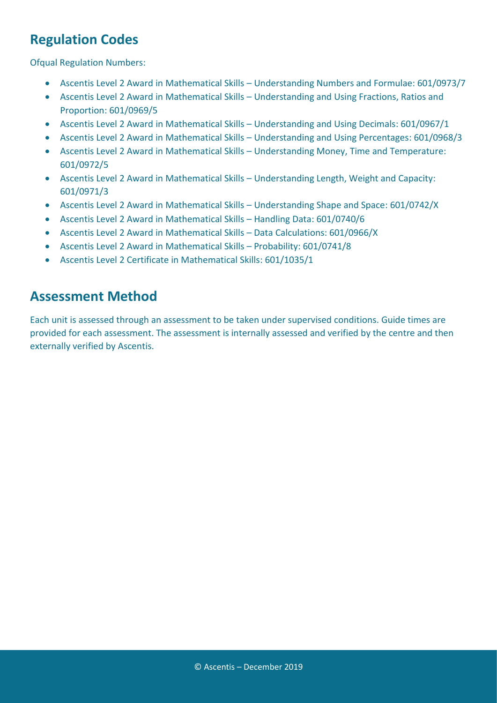#### **Regulation Codes**

Ofqual Regulation Numbers:

- Ascentis Level 2 Award in Mathematical Skills Understanding Numbers and Formulae: 601/0973/7
- Ascentis Level 2 Award in Mathematical Skills Understanding and Using Fractions, Ratios and Proportion: 601/0969/5
- Ascentis Level 2 Award in Mathematical Skills Understanding and Using Decimals: 601/0967/1
- Ascentis Level 2 Award in Mathematical Skills Understanding and Using Percentages: 601/0968/3
- Ascentis Level 2 Award in Mathematical Skills Understanding Money, Time and Temperature: 601/0972/5
- Ascentis Level 2 Award in Mathematical Skills Understanding Length, Weight and Capacity: 601/0971/3
- Ascentis Level 2 Award in Mathematical Skills Understanding Shape and Space: 601/0742/X
- Ascentis Level 2 Award in Mathematical Skills Handling Data: 601/0740/6
- Ascentis Level 2 Award in Mathematical Skills Data Calculations: 601/0966/X
- Ascentis Level 2 Award in Mathematical Skills Probability: 601/0741/8
- Ascentis Level 2 Certificate in Mathematical Skills: 601/1035/1

#### **Assessment Method**

Each unit is assessed through an assessment to be taken under supervised conditions. Guide times are provided for each assessment. The assessment is internally assessed and verified by the centre and then externally verified by Ascentis.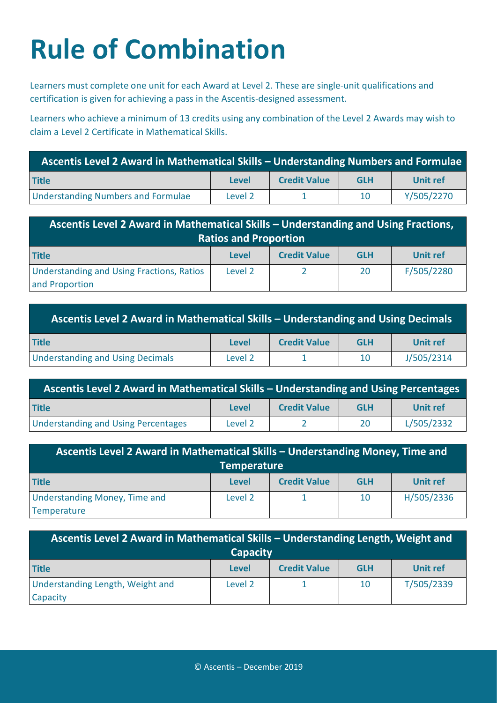## **Rule of Combination**

Learners must complete one unit for each Award at Level 2. These are single-unit qualifications and certification is given for achieving a pass in the Ascentis-designed assessment.

Learners who achieve a minimum of 13 credits using any combination of the Level 2 Awards may wish to claim a Level 2 Certificate in Mathematical Skills.

| Ascentis Level 2 Award in Mathematical Skills - Understanding Numbers and Formulae |         |                     |            |            |  |
|------------------------------------------------------------------------------------|---------|---------------------|------------|------------|--|
| <b>Title</b>                                                                       | Level   | <b>Credit Value</b> | <b>GLH</b> | Unit ref   |  |
| <b>Understanding Numbers and Formulae</b>                                          | Level 2 |                     | 10         | Y/505/2270 |  |

| Ascentis Level 2 Award in Mathematical Skills – Understanding and Using Fractions,<br><b>Ratios and Proportion</b> |              |                     |            |            |
|--------------------------------------------------------------------------------------------------------------------|--------------|---------------------|------------|------------|
| <b>Title</b>                                                                                                       | <b>Level</b> | <b>Credit Value</b> | <b>GLH</b> | Unit ref   |
| <b>Understanding and Using Fractions, Ratios</b><br>and Proportion                                                 | Level 2      |                     | 20         | F/505/2280 |

| Ascentis Level 2 Award in Mathematical Skills – Understanding and Using Decimals |         |                     |            |                 |
|----------------------------------------------------------------------------------|---------|---------------------|------------|-----------------|
| <b>Title</b>                                                                     | Level   | <b>Credit Value</b> | <b>GLH</b> | <b>Unit ref</b> |
| <b>Understanding and Using Decimals</b>                                          | Level 2 |                     | 10         | J/505/2314      |

| Ascentis Level 2 Award in Mathematical Skills - Understanding and Using Percentages |         |                     |            |            |
|-------------------------------------------------------------------------------------|---------|---------------------|------------|------------|
| <b>Title</b>                                                                        | Level   | <b>Credit Value</b> | <b>GLH</b> | Unit ref   |
| <b>Understanding and Using Percentages</b>                                          | Level 2 |                     | 20         | L/505/2332 |

| Ascentis Level 2 Award in Mathematical Skills - Understanding Money, Time and |         |                     |            |                 |
|-------------------------------------------------------------------------------|---------|---------------------|------------|-----------------|
| <b>Temperature</b>                                                            |         |                     |            |                 |
| <b>Title</b>                                                                  | Level   | <b>Credit Value</b> | <b>GLH</b> | <b>Unit ref</b> |
| <b>Understanding Money, Time and</b>                                          | Level 2 |                     | 10         | H/505/2336      |
| Temperature                                                                   |         |                     |            |                 |

| Ascentis Level 2 Award in Mathematical Skills - Understanding Length, Weight and<br><b>Capacity</b> |              |                     |            |            |
|-----------------------------------------------------------------------------------------------------|--------------|---------------------|------------|------------|
| <b>Title</b>                                                                                        | <b>Level</b> | <b>Credit Value</b> | <b>GLH</b> | Unit ref   |
| Understanding Length, Weight and<br>Capacity                                                        | Level 2      |                     | 10         | T/505/2339 |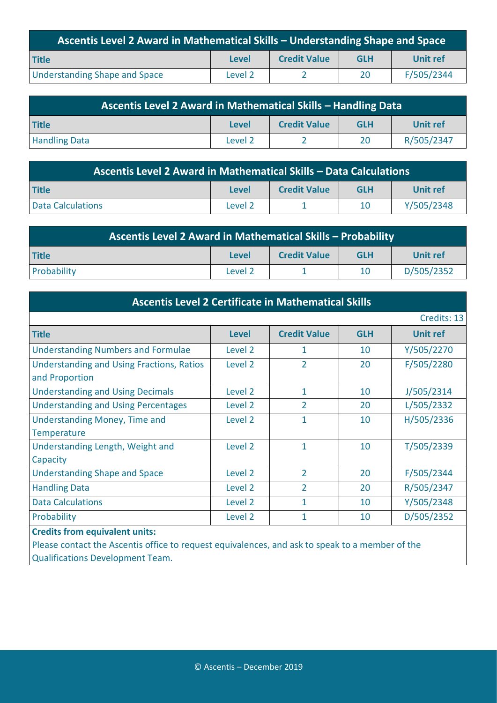| Ascentis Level 2 Award in Mathematical Skills - Understanding Shape and Space |              |                     |            |            |
|-------------------------------------------------------------------------------|--------------|---------------------|------------|------------|
| <b>Title</b>                                                                  | <b>Level</b> | <b>Credit Value</b> | <b>GLH</b> | Unit ref   |
| <b>Understanding Shape and Space</b>                                          | Level 2      |                     | 20         | F/505/2344 |

| Ascentis Level 2 Award in Mathematical Skills - Handling Data |              |                     |            |                 |
|---------------------------------------------------------------|--------------|---------------------|------------|-----------------|
| <b>Title</b>                                                  | <b>Level</b> | <b>Credit Value</b> | <b>GLH</b> | <b>Unit ref</b> |
| <b>Handling Data</b>                                          | Level 2      |                     | 20         | R/505/2347      |

| Ascentis Level 2 Award in Mathematical Skills - Data Calculations             |                    |  |    |            |  |
|-------------------------------------------------------------------------------|--------------------|--|----|------------|--|
| <b>Title</b><br><b>Credit Value</b><br><b>GLH</b><br>Unit ref<br><b>Level</b> |                    |  |    |            |  |
| <b>Data Calculations</b>                                                      | Level <sub>2</sub> |  | 10 | Y/505/2348 |  |

| Ascentis Level 2 Award in Mathematical Skills - Probability                   |         |  |    |            |  |
|-------------------------------------------------------------------------------|---------|--|----|------------|--|
| <b>Credit Value</b><br><b>Title</b><br>Unit ref<br><b>GLH</b><br><b>Level</b> |         |  |    |            |  |
| Probability                                                                   | Level 2 |  | 10 | D/505/2352 |  |

| <b>Ascentis Level 2 Certificate in Mathematical Skills</b>         |              |                     |            |                 |
|--------------------------------------------------------------------|--------------|---------------------|------------|-----------------|
|                                                                    |              |                     |            | Credits: 13     |
| <b>Title</b>                                                       | <b>Level</b> | <b>Credit Value</b> | <b>GLH</b> | <b>Unit ref</b> |
| <b>Understanding Numbers and Formulae</b>                          | Level 2      | 1                   | 10         | Y/505/2270      |
| <b>Understanding and Using Fractions, Ratios</b><br>and Proportion | Level 2      | $\overline{2}$      | 20         | F/505/2280      |
| <b>Understanding and Using Decimals</b>                            | Level 2      | $\mathbf{1}$        | 10         | J/505/2314      |
| <b>Understanding and Using Percentages</b>                         | Level 2      | $\overline{2}$      | 20         | L/505/2332      |
| <b>Understanding Money, Time and</b><br><b>Temperature</b>         | Level 2      | $\mathbf{1}$        | 10         | H/505/2336      |
| Understanding Length, Weight and<br>Capacity                       | Level 2      | 1                   | 10         | T/505/2339      |
| <b>Understanding Shape and Space</b>                               | Level 2      | $\overline{2}$      | 20         | F/505/2344      |
| <b>Handling Data</b>                                               | Level 2      | $\overline{2}$      | 20         | R/505/2347      |
| <b>Data Calculations</b>                                           | Level 2      | $\mathbf{1}$        | 10         | Y/505/2348      |
| Probability                                                        | Level 2      | $\mathbf{1}$        | 10         | D/505/2352      |
| <b>Credits from equivalent units:</b>                              |              |                     |            |                 |

Please contact the Ascentis office to request equivalences, and ask to speak to a member of the Qualifications Development Team.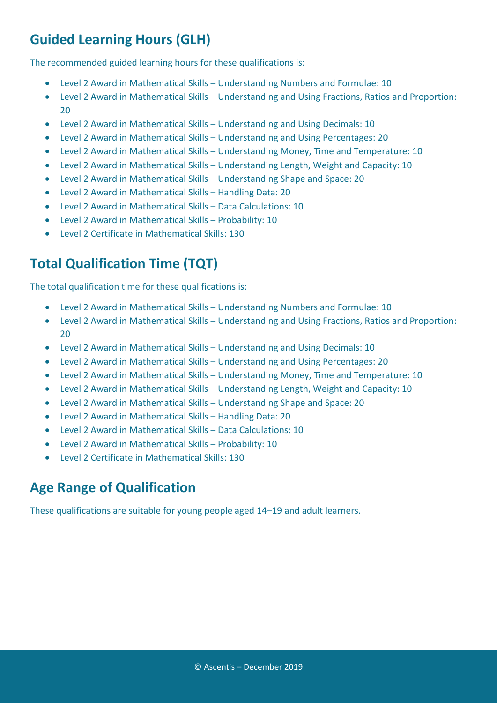### **Guided Learning Hours (GLH)**

The recommended guided learning hours for these qualifications is:

- Level 2 Award in Mathematical Skills Understanding Numbers and Formulae: 10
- Level 2 Award in Mathematical Skills Understanding and Using Fractions, Ratios and Proportion: 20
- Level 2 Award in Mathematical Skills Understanding and Using Decimals: 10
- Level 2 Award in Mathematical Skills Understanding and Using Percentages: 20
- Level 2 Award in Mathematical Skills Understanding Money, Time and Temperature: 10
- Level 2 Award in Mathematical Skills Understanding Length, Weight and Capacity: 10
- Level 2 Award in Mathematical Skills Understanding Shape and Space: 20
- Level 2 Award in Mathematical Skills Handling Data: 20
- Level 2 Award in Mathematical Skills Data Calculations: 10
- Level 2 Award in Mathematical Skills Probability: 10
- Level 2 Certificate in Mathematical Skills: 130

### **Total Qualification Time (TQT)**

The total qualification time for these qualifications is:

- Level 2 Award in Mathematical Skills Understanding Numbers and Formulae: 10
- Level 2 Award in Mathematical Skills Understanding and Using Fractions, Ratios and Proportion: 20
- Level 2 Award in Mathematical Skills Understanding and Using Decimals: 10
- Level 2 Award in Mathematical Skills Understanding and Using Percentages: 20
- Level 2 Award in Mathematical Skills Understanding Money, Time and Temperature: 10
- Level 2 Award in Mathematical Skills Understanding Length, Weight and Capacity: 10
- Level 2 Award in Mathematical Skills Understanding Shape and Space: 20
- Level 2 Award in Mathematical Skills Handling Data: 20
- Level 2 Award in Mathematical Skills Data Calculations: 10
- Level 2 Award in Mathematical Skills Probability: 10
- Level 2 Certificate in Mathematical Skills: 130

#### **Age Range of Qualification**

These qualifications are suitable for young people aged 14–19 and adult learners.